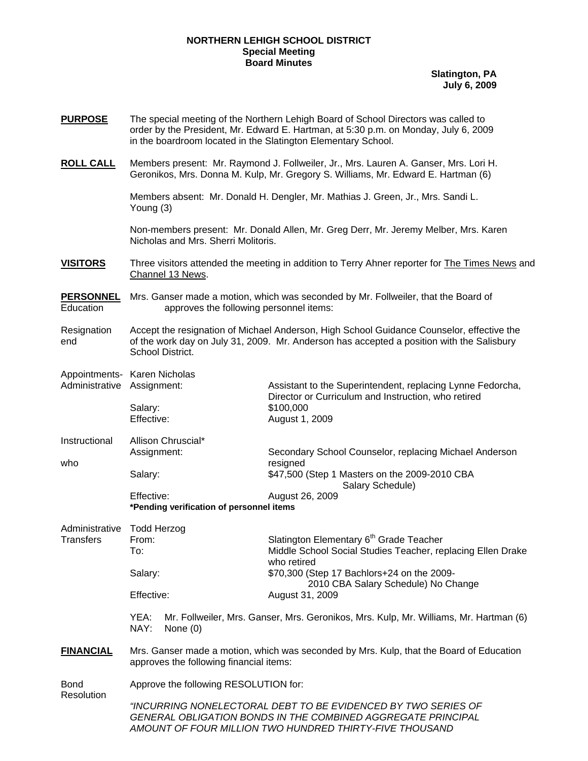## **NORTHERN LEHIGH SCHOOL DISTRICT Special Meeting Board Minutes**

**Slatington, PA July 6, 2009**

| <b>PURPOSE</b>                     | The special meeting of the Northern Lehigh Board of School Directors was called to<br>order by the President, Mr. Edward E. Hartman, at 5:30 p.m. on Monday, July 6, 2009<br>in the boardroom located in the Slatington Elementary School. |                                                                                                                                                                                                                        |
|------------------------------------|--------------------------------------------------------------------------------------------------------------------------------------------------------------------------------------------------------------------------------------------|------------------------------------------------------------------------------------------------------------------------------------------------------------------------------------------------------------------------|
| <b>ROLL CALL</b>                   | Members present: Mr. Raymond J. Follweiler, Jr., Mrs. Lauren A. Ganser, Mrs. Lori H.<br>Geronikos, Mrs. Donna M. Kulp, Mr. Gregory S. Williams, Mr. Edward E. Hartman (6)                                                                  |                                                                                                                                                                                                                        |
|                                    | Members absent: Mr. Donald H. Dengler, Mr. Mathias J. Green, Jr., Mrs. Sandi L.<br>Young $(3)$                                                                                                                                             |                                                                                                                                                                                                                        |
|                                    | Non-members present: Mr. Donald Allen, Mr. Greg Derr, Mr. Jeremy Melber, Mrs. Karen<br>Nicholas and Mrs. Sherri Molitoris.                                                                                                                 |                                                                                                                                                                                                                        |
| <b>VISITORS</b>                    | Three visitors attended the meeting in addition to Terry Ahner reporter for <b>The Times News</b> and<br>Channel 13 News.                                                                                                                  |                                                                                                                                                                                                                        |
| <b>PERSONNEL</b><br>Education      | Mrs. Ganser made a motion, which was seconded by Mr. Follweiler, that the Board of<br>approves the following personnel items:                                                                                                              |                                                                                                                                                                                                                        |
| Resignation<br>end                 | Accept the resignation of Michael Anderson, High School Guidance Counselor, effective the<br>of the work day on July 31, 2009. Mr. Anderson has accepted a position with the Salisbury<br>School District.                                 |                                                                                                                                                                                                                        |
| Administrative                     | Appointments- Karen Nicholas<br>Assignment:                                                                                                                                                                                                | Assistant to the Superintendent, replacing Lynne Fedorcha,<br>Director or Curriculum and Instruction, who retired                                                                                                      |
|                                    | Salary:<br>Effective:                                                                                                                                                                                                                      | \$100,000<br>August 1, 2009                                                                                                                                                                                            |
| Instructional<br>who               | Allison Chruscial*<br>Assignment:                                                                                                                                                                                                          | Secondary School Counselor, replacing Michael Anderson<br>resigned                                                                                                                                                     |
|                                    | Salary:                                                                                                                                                                                                                                    | \$47,500 (Step 1 Masters on the 2009-2010 CBA<br>Salary Schedule)                                                                                                                                                      |
|                                    | Effective:<br>*Pending verification of personnel items                                                                                                                                                                                     | August 26, 2009                                                                                                                                                                                                        |
| Administrative<br><b>Transfers</b> | <b>Todd Herzog</b><br>From:<br>To:<br>Salary:                                                                                                                                                                                              | Slatington Elementary 6 <sup>th</sup> Grade Teacher<br>Middle School Social Studies Teacher, replacing Ellen Drake<br>who retired<br>\$70,300 (Step 17 Bachlors+24 on the 2009-<br>2010 CBA Salary Schedule) No Change |
|                                    | Effective:                                                                                                                                                                                                                                 | August 31, 2009                                                                                                                                                                                                        |
|                                    | Mr. Follweiler, Mrs. Ganser, Mrs. Geronikos, Mrs. Kulp, Mr. Williams, Mr. Hartman (6)<br>YEA:<br>NAY:<br>None $(0)$                                                                                                                        |                                                                                                                                                                                                                        |
| <b>FINANCIAL</b>                   | Mrs. Ganser made a motion, which was seconded by Mrs. Kulp, that the Board of Education<br>approves the following financial items:                                                                                                         |                                                                                                                                                                                                                        |
| Bond<br>Resolution                 | Approve the following RESOLUTION for:                                                                                                                                                                                                      |                                                                                                                                                                                                                        |
|                                    | "INCURRING NONELECTORAL DEBT TO BE EVIDENCED BY TWO SERIES OF<br><b>GENERAL OBLIGATION BONDS IN THE COMBINED AGGREGATE PRINCIPAL</b><br>AMOUNT OF FOUR MILLION TWO HUNDRED THIRTY-FIVE THOUSAND                                            |                                                                                                                                                                                                                        |